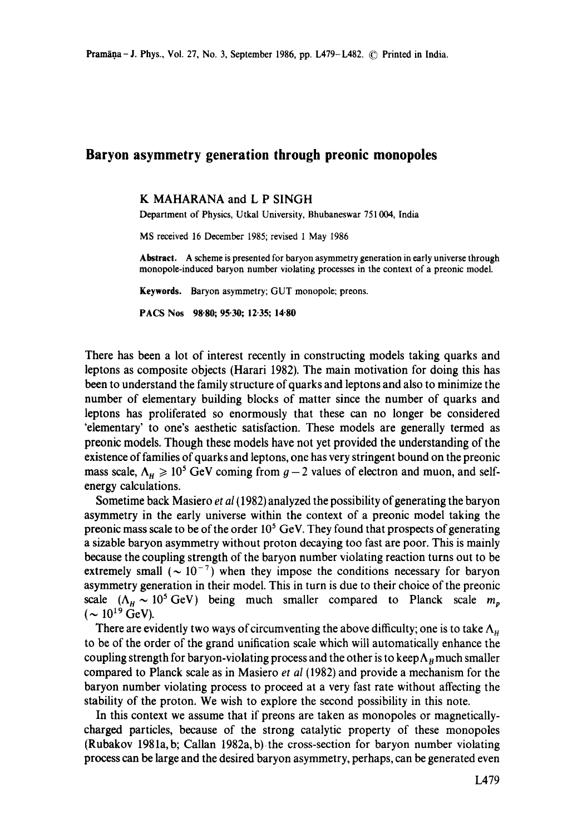## **Baryon asymmetry generation through preonic monopoles**

## K MAHARANA and L P SINGH

Department of Physics, Utkal University, Bhubaneswar 751004, India

MS received 16 December 1985; revised 1 May i986

**Abstract.** A scheme is presented for baryon asymmetry generation in early universe through monopole-induced baryon number violating processes in the context of a preonic model.

**Keywords.** Baryon asymmetry; GUT monopole; preons.

**PACS Nos 98.80; 95.30; 12,35; 14.80** 

There has been a lot of interest recently in constructing models taking quarks and leptons as composite objects (Harari 1982). The main motivation for doing this has been to understand the family structure of quarks and leptons and also to minimize the number of elementary building blocks of matter since the number of quarks and leptons has proliferated so enormously that these can no longer be considered 'elementary' to one's aesthetic satisfaction. These models are generally termed as preonic models. Though these models have not yet provided the understanding of the existence of families of quarks and leptons, one has very stringent bound on the preonic mass scale,  $\Lambda_H \ge 10^5$  GeV coming from  $g-2$  values of electron and muon, and selfenergy calculations.

Sometime back Masiero *et al* (1982) analyzed the possibility of generating the baryon asymmetry in the early universe within the context of a preonic model taking the preonic mass scale to be of the order  $10<sup>5</sup>$  GeV. They found that prospects of generating a sizable baryon asymmetry without proton decaying too fast are poor. This is mainly because the coupling strength of the baryon number violating reaction turns out to be extremely small ( $\sim 10^{-7}$ ) when they impose the conditions necessary for baryon asymmetry generation in their model. This in turn is due to their choice of the preonic scale  $(\Lambda_{\mu} \sim 10^5 \text{ GeV})$  being much smaller compared to Planck scale  $m_p$  $({\sim 10^{19} \text{ GeV}})$ .

There are evidently two ways of circumventing the above difficulty; one is to take  $\Lambda_{\rm H}$ to be of the order of the grand unification scale which will automatically enhance the coupling strength for baryon-violating process and the other is to keep  $\Lambda_n$  much smaller compared to Planck scale as in Masiero *et al* (1982) and provide a mechanism for the baryon number violating process to proceed at a very fast rate without affecting the stability of the proton. We wish to explore the second possibility in this note.

In this context we assume that if preons are taken as monopoles or magneticallycharged particles, because of the strong catalytic property of these monopoles (Rubakov 1981a, b; Callan 1982a, b) the cross-section for baryon number violating process can be large and the desired baryon asymmetry, perhaps, can be generated even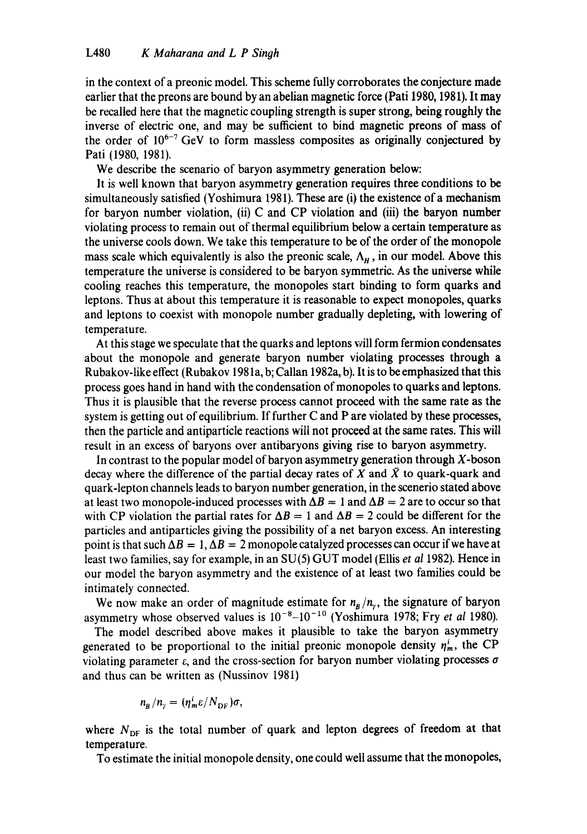in the context of a preonic model. This scheme fully corroborates the conjecture made earlier that the preons are bound by an abelian magnetic force (Pati 1980, 1981). It may be recalled here that the magnetic coupling strength is super strong, being roughly the inverse of electric one, and may be sufficient to bind magnetic preons of mass of the order of  $10^{6-7}$  GeV to form massless composites as originally conjectured by Pati (1980, 1981).

We describe the scenario of baryon asymmetry generation below:

It is well known that baryon asymmetry generation requires three conditions to be simultaneously satisfied (Yoshimura 1981). These are (i) the existence of a mechanism for baryon number violation, (ii) C and CP violation and (iii) the baryon number violating process to remain out of thermal equilibrium below a certain temperature as the universe cools down. We take this temperature to be of the order of the monopole mass scale which equivalently is also the preonic scale,  $A_H$ , in our model. Above this temperature the universe is considered to be baryon symmetric. As the universe while cooling reaches this temperature, the monopoles start binding to form quarks and leptons. Thus at about this temperature it is reasonable to expect monopoles, quarks and leptons to coexist with monopole number gradually depleting, with lowering of temperature.

At this stage we speculate that the quarks and leptons will form fermion condensates about the monopole and generate baryon number violating processes through a Rubakov-like effect (Rubakov 198 la, b; Callan 1982a, b). It is to be emphasized that this process goes hand in hand with the condensation of monopoles to quarks and leptons. Thus it is plausible that the reverse process cannot proceed with the same rate as the system is getting out of equilibrium. If further C and P are violated by these processes, then the particle and antiparticle reactions will not proceed at the same rates. This will result in an excess of baryons over antibaryons giving rise to baryon asymmetry.

In contrast to the popular model of baryon asymmetry generation through  $X$ -boson decay where the difference of the partial decay rates of X and  $\bar{X}$  to quark-quark and quark-lepton channels leads to baryon number generation, in the scenerio stated above at least two monopole-induced processes with  $\Delta B = 1$  and  $\Delta B = 2$  are to occur so that with CP violation the partial rates for  $\Delta B = 1$  and  $\Delta B = 2$  could be different for the particles and antiparticles giving the possibility of a net baryon excess. An interesting point is that such  $\Delta B = 1$ ,  $\Delta B = 2$  monopole catalyzed processes can occur if we have at least two families, say for example, in an SU(5) GUT model (Ellis *et al* 1982). Hence in our model the baryon asymmetry and the existence of at least two families could be intimately connected.

We now make an order of magnitude estimate for  $n_B/n_y$ , the signature of baryon asymmetry whose observed values is  $10^{-8}-10^{-10}$  (Yoshimura 1978; Fry *et al* 1980).

The model described above makes it plausible to take the baryon asymmetry generated to be proportional to the initial preonic monopole density  $\eta_m^i$ , the CP violating parameter  $\varepsilon$ , and the cross-section for baryon number violating processes  $\sigma$ and thus can be written as (Nussinov 1981)

$$
n_{\rm B}/n_{\rm y}=(\eta_{\rm m}^i\epsilon/N_{\rm DF})\sigma,
$$

where  $N_{\text{DF}}$  is the total number of quark and lepton degrees of freedom at that temperature.

To estimate the initial monopole density, one could well assume that the monopoles,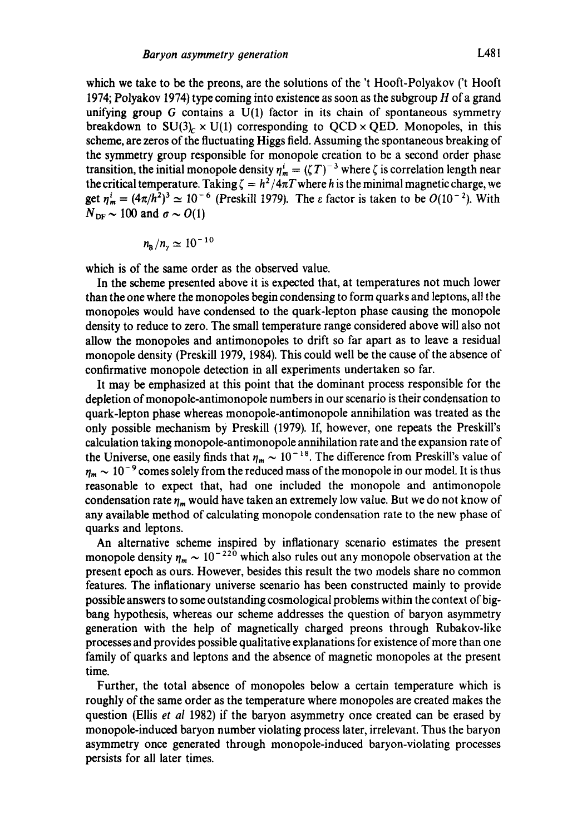which we take to be the preons, are the solutions of the 't Hooft-Polyakov ('t Hooft 1974; Polyakov 1974) type coming into existence as soon as the subgroup H of a grand unifying group  $G$  contains a  $U(1)$  factor in its chain of spontaneous symmetry breakdown to  $SU(3)_{c} \times U(1)$  corresponding to  $QCD \times QED$ . Monopoles, in this scheme, are zeros of the fluctuating Higgs field. Assuming the spontaneous breaking of the symmetry group responsible for monopole creation to be a second order phase transition, the initial monopole density  $\eta_m^i = (\zeta T)^{-3}$  where  $\zeta$  is correlation length near the critical temperature. Taking  $\zeta = h^2/4\pi T$  where h is the minimal magnetic charge, we get  $\eta_m^i = (4\pi/h^2)^3 \simeq 10^{-6}$  (Preskill 1979). The  $\varepsilon$  factor is taken to be  $O(10^{-2})$ . With  $N_{\text{DE}} \sim 100$  and  $\sigma \sim O(1)$ 

$$
n_{\rm B}/n_{\rm y}\simeq 10^{-10}
$$

which is of the same order as the observed value.

In the scheme presented above it is expected that, at temperatures not much lower than the one where the monopotes begin condensing to form quarks and leptons, all the monopoles would have condensed to the quark-lepton phase causing the monopole density to reduce to zero. The small temperature range considered above will also not allow the monopoles and antimonopoles to drift so far apart as to leave a residual monopole density (Preskill 1979, 1984). This could well be the cause of the absence of confirmative monopole detection in all experiments undertaken so far.

It may be emphasized at this point that the dominant process responsible for the depletion ofmonopole-antimonopole numbers in our scenario is their condensation to quark-lepton phase whereas monopole-antimonopole annihilation was treated as the only possible mechanism by Preskill (1979). If, however, one repeats the Preskill's calculation taking monopole-antimonopole annihilation rate and the expansion rate of the Universe, one easily finds that  $\eta_m \sim 10^{-18}$ . The difference from Preskill's value of  $\eta_m \sim 10^{-9}$  comes solely from the reduced mass of the monopole in our model. It is thus reasonable to expect that, had one included the monopole and antimonopole condensation rate  $\eta_m$  would have taken an extremely low value. But we do not know of any available method of calculating monopole condensation rate to the new phase of quarks and leptons.

An alternative scheme inspired by inflationary scenario estimates the present monopole density  $\eta_m \sim 10^{-220}$  which also rules out any monopole observation at the present epoch as ours. However, besides this result the two models share no common features. The inflationary universe scenario has been constructed mainly to provide possible answers to some outstanding cosmological problems within the context of bigbang hypothesis, whereas our scheme addresses the question of baryon asymmetry generation with the help of magnetically charged preons through Rubakov-like processes and provides possible qualitative explanations for existence of more than one family of quarks and leptons and the absence of magnetic monopoles at the present time.

Further, the total absence of monopoles below a certain temperature which is roughly of the same order as the temperature where monopoles are created makes the question (Ellis *et al* 1982) if the baryon asymmetry once created can be erased by monopole-induced baryon number violating process later, irrelevant. Thus the baryon asymmetry once generated through monopole-induced baryon-violating processes persists for all later times.